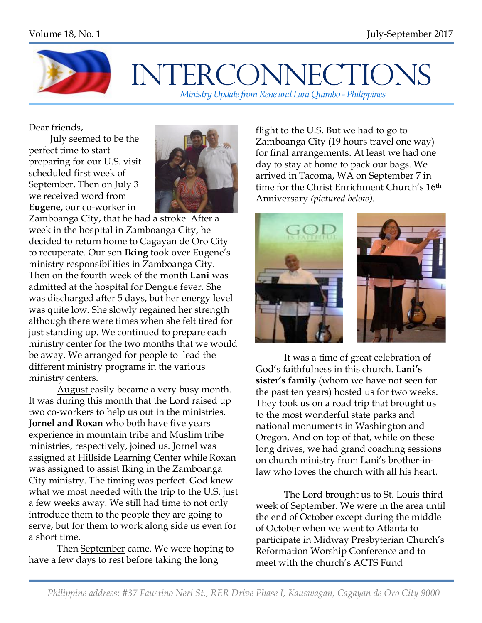

## **INTERCONNECTIONS** *Ministry Update from Rene and Lani Quimbo - Philippines*

Dear friends,

 July seemed to be the perfect time to start preparing for our U.S. visit scheduled first week of September. Then on July 3 we received word from **Eugene,** our co-worker in



Zamboanga City, that he had a stroke. After a week in the hospital in Zamboanga City, he decided to return home to Cagayan de Oro City to recuperate. Our son **Iking** took over Eugene's ministry responsibilities in Zamboanga City. Then on the fourth week of the month **Lani** was admitted at the hospital for Dengue fever. She was discharged after 5 days, but her energy level was quite low. She slowly regained her strength although there were times when she felt tired for just standing up. We continued to prepare each ministry center for the two months that we would be away. We arranged for people to lead the different ministry programs in the various ministry centers.

August easily became a very busy month. It was during this month that the Lord raised up two co-workers to help us out in the ministries. **Jornel and Roxan** who both have five years experience in mountain tribe and Muslim tribe ministries, respectively, joined us. Jornel was assigned at Hillside Learning Center while Roxan was assigned to assist Iking in the Zamboanga City ministry. The timing was perfect. God knew what we most needed with the trip to the U.S. just a few weeks away. We still had time to not only introduce them to the people they are going to serve, but for them to work along side us even for a short time.

Then September came. We were hoping to have a few days to rest before taking the long

flight to the U.S. But we had to go to Zamboanga City (19 hours travel one way) for final arrangements. At least we had one day to stay at home to pack our bags. We arrived in Tacoma, WA on September 7 in time for the Christ Enrichment Church's 16th Anniversary *(pictured below).*



It was a time of great celebration of God's faithfulness in this church. **Lani's sister's family** (whom we have not seen for the past ten years) hosted us for two weeks. They took us on a road trip that brought us to the most wonderful state parks and national monuments in Washington and Oregon. And on top of that, while on these long drives, we had grand coaching sessions on church ministry from Lani's brother-inlaw who loves the church with all his heart.

The Lord brought us to St. Louis third week of September. We were in the area until the end of October except during the middle of October when we went to Atlanta to participate in Midway Presbyterian Church's Reformation Worship Conference and to meet with the church's ACTS Fund